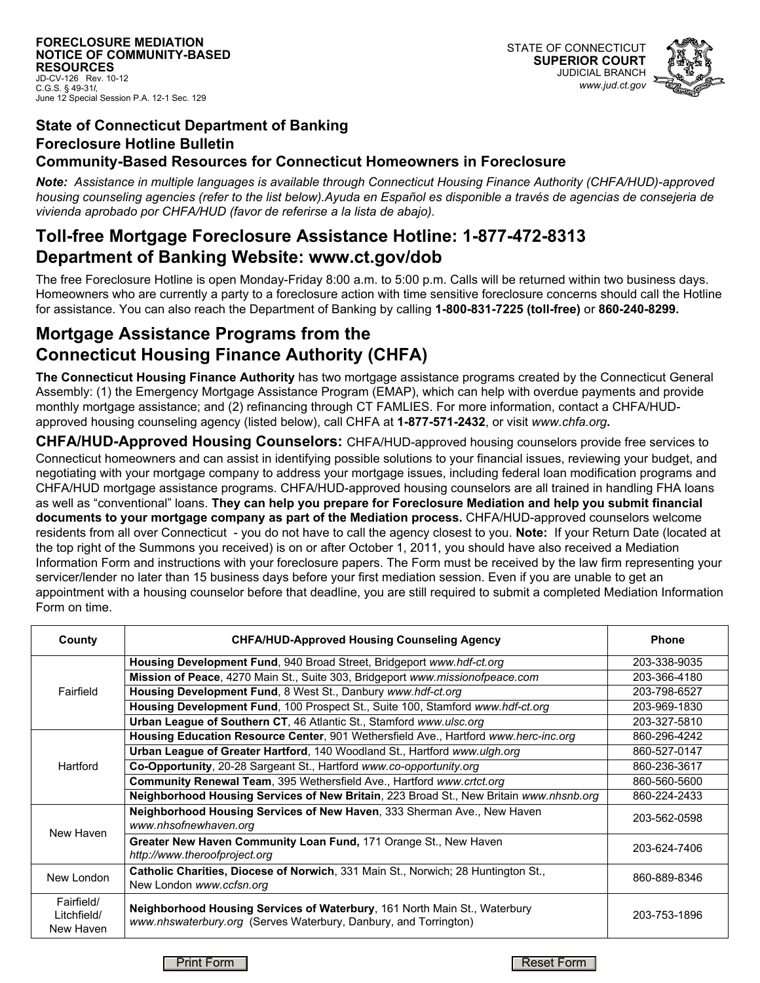# **State of Connecticut Department of Banking Foreclosure Hotline Bulletin**

#### **Community-Based Resources for Connecticut Homeowners in Foreclosure**

*Note: Assistance in multiple languages is available through Connecticut Housing Finance Authority (CHFA/HUD)-approved housing counseling agencies (refer to the list below).Ayuda en Español es disponible a través de agencias de consejeria de vivienda aprobado por CHFA/HUD (favor de referirse a la lista de abajo).*

### **Toll-free Mortgage Foreclosure Assistance Hotline: 1-877-472-8313 Department of Banking Website: www.ct.gov/dob**

The free Foreclosure Hotline is open Monday-Friday 8:00 a.m. to 5:00 p.m. Calls will be returned within two business days. Homeowners who are currently a party to a foreclosure action with time sensitive foreclosure concerns should call the Hotline for assistance. You can also reach the Department of Banking by calling **1-800-831-7225 (toll-free)** or **860-240-8299.**

## **Mortgage Assistance Programs from the Connecticut Housing Finance Authority (CHFA)**

**The Connecticut Housing Finance Authority** has two mortgage assistance programs created by the Connecticut General Assembly: (1) the Emergency Mortgage Assistance Program (EMAP), which can help with overdue payments and provide monthly mortgage assistance; and (2) refinancing through CT FAMLIES. For more information, contact a CHFA/HUDapproved housing counseling agency (listed below), call CHFA at **1-877-571-2432**, or visit *www.chfa.org***.** 

**CHFA/HUD-Approved Housing Counselors:** CHFA/HUD-approved housing counselors provide free services to Connecticut homeowners and can assist in identifying possible solutions to your financial issues, reviewing your budget, and negotiating with your mortgage company to address your mortgage issues, including federal loan modification programs and CHFA/HUD mortgage assistance programs. CHFA/HUD-approved housing counselors are all trained in handling FHA loans as well as "conventional" loans. **They can help you prepare for Foreclosure Mediation and help you submit financial documents to your mortgage company as part of the Mediation process.** CHFA/HUD-approved counselors welcome residents from all over Connecticut - you do not have to call the agency closest to you. **Note:** If your Return Date (located at the top right of the Summons you received) is on or after October 1, 2011, you should have also received a Mediation Information Form and instructions with your foreclosure papers. The Form must be received by the law firm representing your servicer/lender no later than 15 business days before your first mediation session. Even if you are unable to get an appointment with a housing counselor before that deadline, you are still required to submit a completed Mediation Information Form on time.

| County                                 | <b>CHFA/HUD-Approved Housing Counseling Agency</b>                                                                                            | <b>Phone</b> |
|----------------------------------------|-----------------------------------------------------------------------------------------------------------------------------------------------|--------------|
| Fairfield                              | Housing Development Fund, 940 Broad Street, Bridgeport www.hdf-ct.org                                                                         | 203-338-9035 |
|                                        | <b>Mission of Peace, 4270 Main St., Suite 303, Bridgeport www.missionofpeace.com</b>                                                          | 203-366-4180 |
|                                        | Housing Development Fund, 8 West St., Danbury www.hdf-ct.org                                                                                  | 203-798-6527 |
|                                        | <b>Housing Development Fund, 100 Prospect St., Suite 100, Stamford www.hdf-ct.org</b>                                                         | 203-969-1830 |
|                                        | <b>Urban League of Southern CT, 46 Atlantic St., Stamford www.ulsc.org</b>                                                                    | 203-327-5810 |
| Hartford                               | Housing Education Resource Center, 901 Wethersfield Ave., Hartford www.herc-inc.org                                                           | 860-296-4242 |
|                                        | <b>Urban League of Greater Hartford, 140 Woodland St., Hartford www.ulgh.org</b>                                                              | 860-527-0147 |
|                                        | Co-Opportunity, 20-28 Sargeant St., Hartford www.co-opportunity.org                                                                           | 860-236-3617 |
|                                        | Community Renewal Team, 395 Wethersfield Ave., Hartford www.crtct.org                                                                         | 860-560-5600 |
|                                        | Neighborhood Housing Services of New Britain, 223 Broad St., New Britain www.nhsnb.org                                                        | 860-224-2433 |
| New Haven                              | Neighborhood Housing Services of New Haven, 333 Sherman Ave., New Haven<br>www.nhsofnewhaven.org                                              | 203-562-0598 |
|                                        | Greater New Haven Community Loan Fund, 171 Orange St., New Haven<br>http://www.theroofproject.org                                             | 203-624-7406 |
| New London                             | Catholic Charities, Diocese of Norwich, 331 Main St., Norwich; 28 Huntington St.,<br>New London www.ccfsn.org                                 | 860-889-8346 |
| Fairfield/<br>Litchfield/<br>New Haven | Neighborhood Housing Services of Waterbury, 161 North Main St., Waterbury<br>www.nhswaterbury.org (Serves Waterbury, Danbury, and Torrington) | 203-753-1896 |